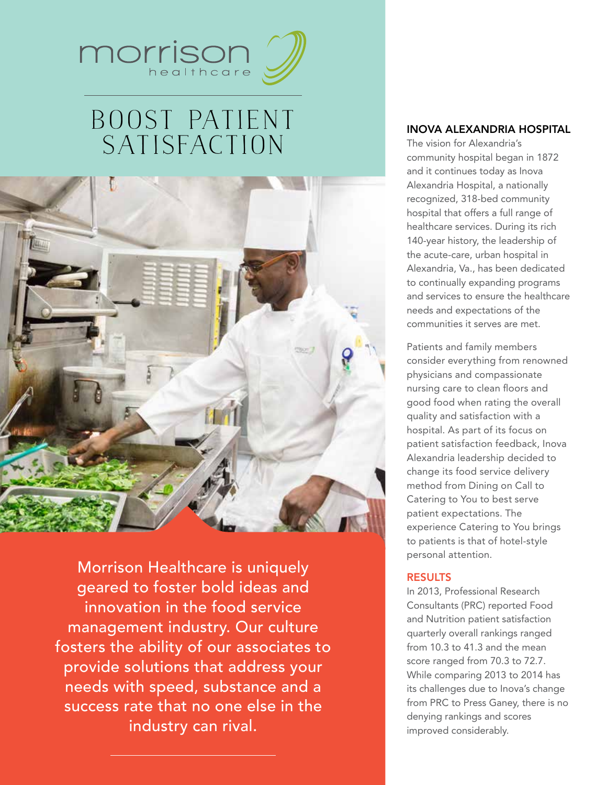

# Boost Patient **SATISFACTION**



Morrison Healthcare is uniquely geared to foster bold ideas and innovation in the food service management industry. Our culture fosters the ability of our associates to provide solutions that address your needs with speed, substance and a success rate that no one else in the industry can rival.

#### Inova Alexandria Hospital

The vision for Alexandria's community hospital began in 1872 and it continues today as Inova Alexandria Hospital, a nationally recognized, 318-bed community hospital that offers a full range of healthcare services. During its rich 140-year history, the leadership of the acute-care, urban hospital in Alexandria, Va., has been dedicated to continually expanding programs and services to ensure the healthcare needs and expectations of the communities it serves are met.

Patients and family members consider everything from renowned physicians and compassionate nursing care to clean floors and good food when rating the overall quality and satisfaction with a hospital. As part of its focus on patient satisfaction feedback, Inova Alexandria leadership decided to change its food service delivery method from Dining on Call to Catering to You to best serve patient expectations. The experience Catering to You brings to patients is that of hotel-style personal attention.

#### **RESULTS**

In 2013, Professional Research Consultants (PRC) reported Food and Nutrition patient satisfaction quarterly overall rankings ranged from 10.3 to 41.3 and the mean score ranged from 70.3 to 72.7. While comparing 2013 to 2014 has its challenges due to Inova's change from PRC to Press Ganey, there is no denying rankings and scores improved considerably.